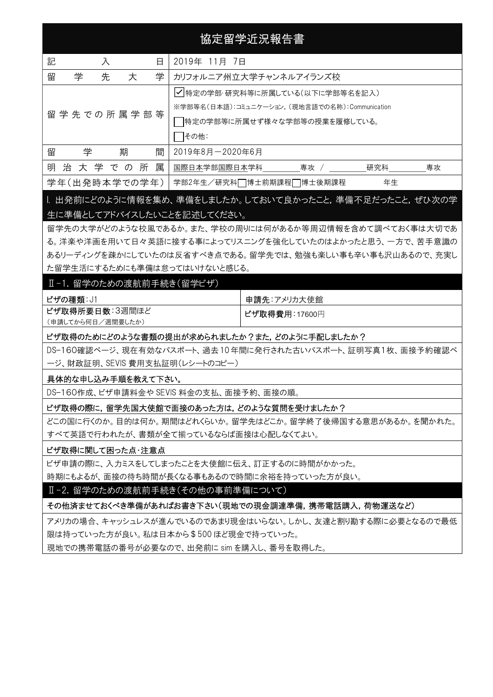|                                                           |                                | 協定留学近況報告書                       |  |     |    |  |  |
|-----------------------------------------------------------|--------------------------------|---------------------------------|--|-----|----|--|--|
| 記<br>入<br>日                                               | 2019年 11月 7日                   |                                 |  |     |    |  |  |
| 学<br>学<br>留<br>先<br>大                                     | カリフォルニア州立大学チャンネルアイランズ校         |                                 |  |     |    |  |  |
|                                                           |                                | ✔ 特定の学部・研究科等に所属している(以下に学部等名を記入) |  |     |    |  |  |
| ※学部等名(日本語):コミュニケーション, (現地言語での名称):Communication            |                                |                                 |  |     |    |  |  |
| 留 学 先 での 所 属 学 部 等                                        | │ 特定の学部等に所属せず様々な学部等の授業を履修している。 |                                 |  |     |    |  |  |
|                                                           | その他:                           |                                 |  |     |    |  |  |
| 学<br>留<br>期<br>間                                          | 2019年8月-2020年6月                |                                 |  |     |    |  |  |
| 明 治 大 学 で の 所<br>属                                        | 国際日本学部国際日本学科 専攻 / キング こうかんしょう  |                                 |  | 研究科 | 専攻 |  |  |
| 学年(出発時本学での学年)                                             | 学部2年生/研究科□博士前期課程□博士後期課程        |                                 |  | 年生  |    |  |  |
| . 出発前にどのように情報を集め、準備をしましたか。しておいて良かったこと、準備不足だったこと、ぜひ次の学     |                                |                                 |  |     |    |  |  |
| 生に準備としてアドバイスしたいことを記述してください。                               |                                |                                 |  |     |    |  |  |
| 留学先の大学がどのような校風であるか。また、学校の周りには何があるか等周辺情報を含めて調べておく事は大切であ    |                                |                                 |  |     |    |  |  |
| る。洋楽や洋画を用いて日々英語に接する事によってリスニングを強化していたのはよかったと思う、一方で、苦手意識の   |                                |                                 |  |     |    |  |  |
| あるリーディングを疎かにしていたのは反省すべき点である。留学先では、勉強も楽しい事も辛い事も沢山あるので、充実し  |                                |                                 |  |     |    |  |  |
| た留学生活にするためにも準備は怠ってはいけないと感じる。                              |                                |                                 |  |     |    |  |  |
| Ⅱ-1. 留学のための渡航前手続き(留学ビザ)                                   |                                |                                 |  |     |    |  |  |
| ビザの種類: J1                                                 |                                | 申請先:アメリカ大使館                     |  |     |    |  |  |
| ビザ取得所要日数:3週間ほど<br>(申請してから何日/週間要したか)                       |                                | ビザ取得費用: 17600円                  |  |     |    |  |  |
| ビザ取得のためにどのような書類の提出が求められましたか?また,どのように手配しましたか?              |                                |                                 |  |     |    |  |  |
| DS-160確認ページ、現在有効なパスポート、過去10年間に発行された古いパスポート、証明写真1枚、面接予約確認ペ |                                |                                 |  |     |    |  |  |
| ージ、財政証明、SEVIS 費用支払証明(レシートのコピー)                            |                                |                                 |  |     |    |  |  |
| 具体的な申し込み手順を教えて下さい。                                        |                                |                                 |  |     |    |  |  |
| DS-160作成、ビザ申請料金や SEVIS 料金の支払、面接予約、面接の順。                   |                                |                                 |  |     |    |  |  |
| ビザ取得の際に,留学先国大使館で面接のあった方は,どのような質問を受けましたか?                  |                                |                                 |  |     |    |  |  |
| どこの国に行くのか。目的は何か。期間はどれくらいか。留学先はどこか。留学終了後帰国する意思があるか。を聞かれた。  |                                |                                 |  |     |    |  |  |

すべて英語で行われたが、書類が全て揃っているならば面接は心配しなくてよい。

#### ビザ取得に関して困った点・注意点

ビザ申請の際に、入力ミスをしてしまったことを大使館に伝え、訂正するのに時間がかかった。

時期にもよるが、面接の待ち時間が長くなる事もあるので時間に余裕を持っていった方が良い。

#### Ⅱ-2. 留学のための渡航前手続き(その他の事前準備について)

#### その他済ませておくべき準備があればお書き下さい(現地での現金調達準備,携帯電話購入,荷物運送など)

アメリカの場合、キャッシュレスが進んでいるのであまり現金はいらない。しかし、友達と割り勘する際に必要となるので最低 限は持っていった方が良い。私は日本から\$500 ほど現金で持っていった。

現地での携帯電話の番号が必要なので、出発前に sim を購入し、番号を取得した。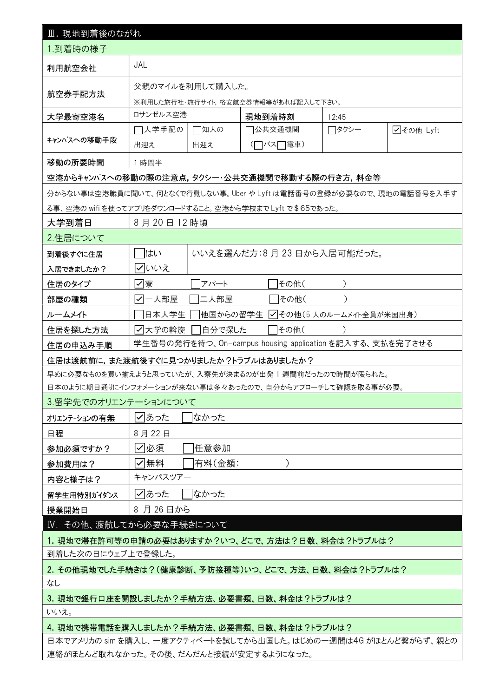| Ⅲ. 現地到着後のながれ                                                        |                                          |        |                                     |       |           |  |  |
|---------------------------------------------------------------------|------------------------------------------|--------|-------------------------------------|-------|-----------|--|--|
| 1.到着時の様子                                                            |                                          |        |                                     |       |           |  |  |
| 利用航空会社                                                              | JAL                                      |        |                                     |       |           |  |  |
|                                                                     | 父親のマイルを利用して購入した。                         |        |                                     |       |           |  |  |
| 航空券手配方法                                                             |                                          |        | ※利用した旅行社・旅行サイト,格安航空券情報等があれば記入して下さい。 |       |           |  |  |
| 大学最寄空港名                                                             | ロサンゼルス空港                                 |        | 現地到着時刻                              | 12.45 |           |  |  |
| キャンパスへの移動手段                                                         | □大学手配の                                   | □知人の   | コ公共交通機関 しゅうしょう                      | □タクシー | ○その他 Lyft |  |  |
|                                                                     | 出迎え                                      | 出迎え    | (□バス□電車)                            |       |           |  |  |
| 移動の所要時間                                                             | 1 時間半                                    |        |                                     |       |           |  |  |
| 空港からキャンパスへの移動の際の注意点,タクシー・公共交通機関で移動する際の行き方,料金等                       |                                          |        |                                     |       |           |  |  |
| 分からない事は空港職員に聞いて、何となくで行動しない事。Uber や Lyft は電話番号の登録が必要なので、現地の電話番号を入手す  |                                          |        |                                     |       |           |  |  |
| る事、空港の wifi を使ってアプリをダウンロードすること。空港から学校までLyft で\$65であった。              |                                          |        |                                     |       |           |  |  |
| 大学到着日                                                               | 8月20日12時頃                                |        |                                     |       |           |  |  |
| 2.住居について                                                            |                                          |        |                                     |       |           |  |  |
| 到着後すぐに住居                                                            | はい                                       |        | いいえを選んだ方:8月 23 日から入居可能だった。          |       |           |  |  |
| 入居できましたか?                                                           | ✓ いいえ                                    |        |                                     |       |           |  |  |
| 住居のタイプ                                                              | ☑寮                                       | アパート   | その他(                                |       |           |  |  |
| 部屋の種類                                                               | ✓ 一人部屋                                   | 二人部屋   | その他(                                |       |           |  |  |
| ルームメイト                                                              | 他国からの留学生 ▽その他(5人のルームメイト全員が米国出身)<br>日本人学生 |        |                                     |       |           |  |  |
| 住居を探した方法                                                            | その他(<br> ノ 大学の斡旋<br> 自分で探した              |        |                                     |       |           |  |  |
| 学生番号の発行を待つ、On-campus housing application を記入する、支払を完了させる<br>住居の申込み手順 |                                          |        |                                     |       |           |  |  |
| 住居は渡航前に,また渡航後すぐに見つかりましたか?トラブルはありましたか?                               |                                          |        |                                     |       |           |  |  |
| 早めに必要なものを買い揃えようと思っていたが、入寮先が決まるのが出発1週間前だったので時間が限られた。                 |                                          |        |                                     |       |           |  |  |
| 日本のように期日通りにインフォメーションが来ない事は多々あったので、自分からアプローチして確認を取る事が必要。             |                                          |        |                                     |       |           |  |  |
| 3.留学先でのオリエンテーションについて                                                |                                          |        |                                     |       |           |  |  |
| オリエンテーションの有無                                                        | ✔ あった<br> なかった                           |        |                                     |       |           |  |  |
| 日程                                                                  | 8月22日                                    |        |                                     |       |           |  |  |
| 参加必須ですか?                                                            | ✓ 必須                                     | 任意参加   |                                     |       |           |  |  |
| 参加費用は?                                                              | ✓ 無料                                     | 有料(金額: |                                     |       |           |  |  |
| 内容と様子は?                                                             | キャンパスツアー                                 |        |                                     |       |           |  |  |
| 留学生用特別がイダンス                                                         | ✔ あった                                    | はかった   |                                     |       |           |  |  |
| 授業開始日                                                               | 8 月 26 日から                               |        |                                     |       |           |  |  |
| Ⅳ. その他、渡航してから必要な手続きについて                                             |                                          |        |                                     |       |           |  |  |
| 1. 現地で滞在許可等の申請の必要はありますか?いつ、どこで、方法は?日数、料金は?トラブルは?                    |                                          |        |                                     |       |           |  |  |
| 到着した次の日にウェブ上で登録した。                                                  |                                          |        |                                     |       |           |  |  |
| 2. その他現地でした手続きは?(健康診断、予防接種等)いつ、どこで、方法、日数、料金は?トラブルは?                 |                                          |        |                                     |       |           |  |  |
| なし                                                                  |                                          |        |                                     |       |           |  |  |
| 3. 現地で銀行口座を開設しましたか?手続方法、必要書類、日数、料金は?トラブルは?                          |                                          |        |                                     |       |           |  |  |
| いいえ。                                                                |                                          |        |                                     |       |           |  |  |
| 4. 現地で携帯電話を購入しましたか?手続方法、必要書類、日数、料金は?トラブルは?                          |                                          |        |                                     |       |           |  |  |
| 日本でアメリカの simを購入し、一度アクティベートを試してから出国した。はじめの一週間は4G がほとんど繋がらず、親との       |                                          |        |                                     |       |           |  |  |
| 連絡がほとんど取れなかった。その後、だんだんと接続が安定するようになった。                               |                                          |        |                                     |       |           |  |  |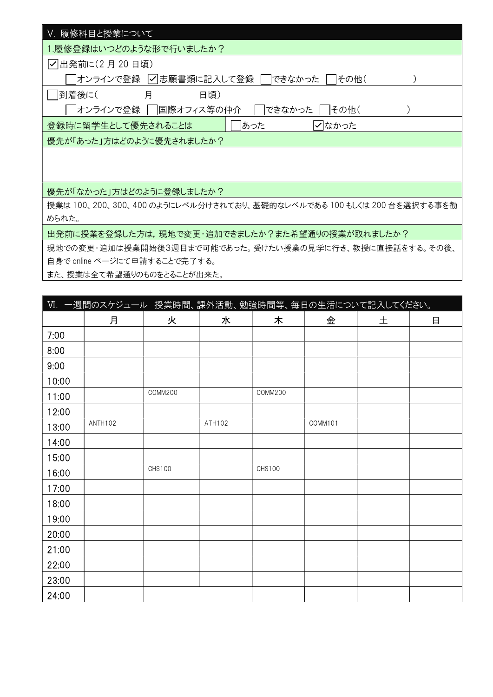| V. 履修科目と授業について                              |  |
|---------------------------------------------|--|
| .履修登録はいつどのような形で行いましたか?                      |  |
| ◯出発前に(2月20日頃)                               |  |
| オンラインで登録   √ 志願書類に記入して登録<br>できなかった<br> その他( |  |
| 到着後に(<br>月<br>日頃)                           |  |
| オンラインで登録    国際オフィス等の仲介 <br>できなかった<br>│ その他( |  |
| あった<br>√なかった<br>登録時に留学生として優先されることは          |  |
| 優先が「あった」方はどのように優先されましたか?                    |  |
|                                             |  |
|                                             |  |
| 優先が「なかった」方はどのように登録しましたか?                    |  |

授業は 100、200、300、400 のようにレベル分けされており、基礎的なレベルである 100 もしくは 200 台を選択する事を勧 められた。

出発前に授業を登録した方は,現地で変更・追加できましたか?また希望通りの授業が取れましたか?

現地での変更・追加は授業開始後3週目まで可能であった。受けたい授業の見学に行き、教授に直接話をする。その後、 自身で online ページにて申請することで完了する。

また、授業は全て希望通りのものをとることが出来た。

|       | VI. 一週間のスケジュール 授業時間、課外活動、勉強時間等、毎日の生活について記入してください。 |         |        |         |         |   |                |
|-------|---------------------------------------------------|---------|--------|---------|---------|---|----------------|
|       | 月                                                 | 火       | 水      | 木       | 金       | 土 | $\blacksquare$ |
| 7:00  |                                                   |         |        |         |         |   |                |
| 8:00  |                                                   |         |        |         |         |   |                |
| 9:00  |                                                   |         |        |         |         |   |                |
| 10:00 |                                                   |         |        |         |         |   |                |
| 11:00 |                                                   | COMM200 |        | COMM200 |         |   |                |
| 12:00 |                                                   |         |        |         |         |   |                |
| 13:00 | ANTH102                                           |         | ATH102 |         | COMM101 |   |                |
| 14:00 |                                                   |         |        |         |         |   |                |
| 15:00 |                                                   |         |        |         |         |   |                |
| 16:00 |                                                   | CHS100  |        | CHS100  |         |   |                |
| 17:00 |                                                   |         |        |         |         |   |                |
| 18:00 |                                                   |         |        |         |         |   |                |
| 19:00 |                                                   |         |        |         |         |   |                |
| 20:00 |                                                   |         |        |         |         |   |                |
| 21:00 |                                                   |         |        |         |         |   |                |
| 22:00 |                                                   |         |        |         |         |   |                |
| 23:00 |                                                   |         |        |         |         |   |                |
| 24:00 |                                                   |         |        |         |         |   |                |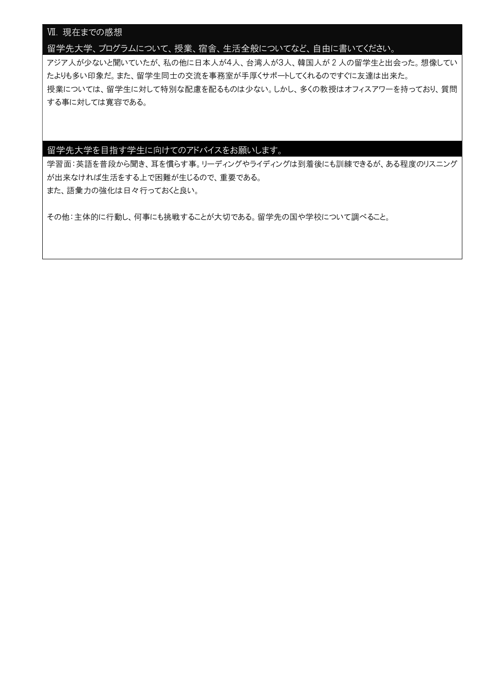#### Ⅶ. 現在までの感想

# 留学先大学、プログラムについて、授業、宿舎、生活全般についてなど、自由に書いてください。

アジア人が少ないと聞いていたが、私の他に日本人が4人、台湾人が3人、韓国人が 2 人の留学生と出会った。想像してい たよりも多い印象だ。また、留学生同士の交流を事務室が手厚くサポートしてくれるのですぐに友達は出来た。 授業については、留学生に対して特別な配慮を配るものは少ない。しかし、多くの教授はオフィスアワーを持っており、質問 する事に対しては寛容である。

留学先大学を目指す学生に向けてのアドバイスをお願いします。

学習面:英語を普段から聞き、耳を慣らす事。リーディングやライディングは到着後にも訓練できるが、ある程度のリスニング が出来なければ生活をする上で困難が生じるので、重要である。 また、語彙力の強化は日々行っておくと良い。

その他:主体的に行動し、何事にも挑戦することが大切である。留学先の国や学校について調べること。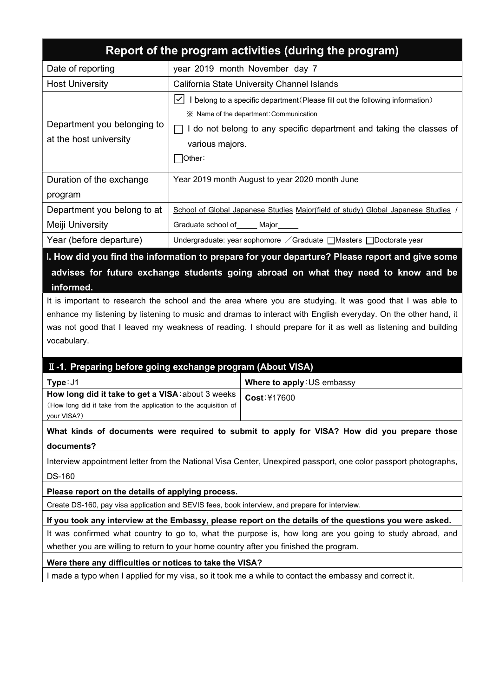# Report of the program activities (during the program) Date of reporting **Date of reporting** vear 2019 month November day 7 Host University California State University Channel Islands Department you belonging to at the host university  $\triangledown$  I belong to a specific department (Please fill out the following information) ※ Name of the department:Communication  $\Box$  I do not belong to any specific department and taking the classes of various majors. Other: Duration of the exchange program Year 2019 month August to year 2020 month June Department you belong to at Meiii University School of Global Japanese Studies Major(field of study) Global Japanese Studies / Graduate school of Major Year (before departure) | Undergraduate: year sophomore / Graduate Masters Doctorate year

# I. How did you find the information to prepare for your departure? Please report and give some advises for future exchange students going abroad on what they need to know and be informed.

It is important to research the school and the area where you are studying. It was good that I was able to enhance my listening by listening to music and dramas to interact with English everyday. On the other hand, it was not good that I leaved my weakness of reading. I should prepare for it as well as listening and building vocabulary.

## Ⅱ-1.Preparing before going exchange program (About VISA)

| Type:J1                                                          | Where to apply: US embassy |
|------------------------------------------------------------------|----------------------------|
| How long did it take to get a VISA: about 3 weeks   Cost:¥17600  |                            |
| (How long did it take from the application to the acquisition of |                            |
| your VISA?)                                                      |                            |

What kinds of documents were required to submit to apply for VISA? How did you prepare those documents?

Interview appointment letter from the National Visa Center, Unexpired passport, one color passport photographs, DS-160

## Please report on the details of applying process.

Create DS-160, pay visa application and SEVIS fees, book interview, and prepare for interview.

If you took any interview at the Embassy, please report on the details of the questions you were asked. It was confirmed what country to go to, what the purpose is, how long are you going to study abroad, and whether you are willing to return to your home country after you finished the program.

#### Were there any difficulties or notices to take the VISA?

I made a typo when I applied for my visa, so it took me a while to contact the embassy and correct it.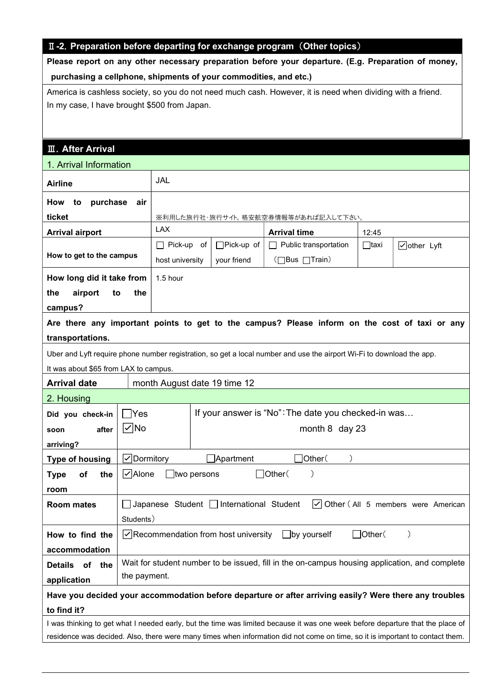## Ⅱ-2.Preparation before departing for exchange program (Other topics)

Please report on any other necessary preparation before your departure. (E.g. Preparation of money, purchasing a cellphone, shipments of your commodities, and etc.)

America is cashless society, so you do not need much cash. However, it is need when dividing with a friend. In my case, I have brought \$500 from Japan.

## Ⅲ.After Arrival

| 1. Arrival Information                                                                                                         |                                                                                               |                |                                     |       |                        |  |
|--------------------------------------------------------------------------------------------------------------------------------|-----------------------------------------------------------------------------------------------|----------------|-------------------------------------|-------|------------------------|--|
| <b>Airline</b>                                                                                                                 | JAL                                                                                           |                |                                     |       |                        |  |
| How<br>purchase<br>to<br>air                                                                                                   |                                                                                               |                |                                     |       |                        |  |
| ticket                                                                                                                         |                                                                                               |                | ※利用した旅行社・旅行サイト,格安航空券情報等があれば記入して下さい。 |       |                        |  |
| <b>Arrival airport</b>                                                                                                         | <b>LAX</b>                                                                                    |                | <b>Arrival time</b>                 | 12:45 |                        |  |
| $\Box$ Pick-up of<br>$\Box$ Pick-up of<br>$\Box$ Public transportation<br>$\Box$ taxi                                          |                                                                                               |                |                                     |       | $\sqrt{\ }$ other Lyft |  |
| How to get to the campus                                                                                                       | host university                                                                               | your friend    | (□Bus □Train)                       |       |                        |  |
| How long did it take from                                                                                                      | 1.5 hour                                                                                      |                |                                     |       |                        |  |
| airport<br>the<br>the<br>to                                                                                                    |                                                                                               |                |                                     |       |                        |  |
| campus?                                                                                                                        |                                                                                               |                |                                     |       |                        |  |
| Are there any important points to get to the campus? Please inform on the cost of taxi or any                                  |                                                                                               |                |                                     |       |                        |  |
| transportations.                                                                                                               |                                                                                               |                |                                     |       |                        |  |
|                                                                                                                                |                                                                                               |                |                                     |       |                        |  |
| Uber and Lyft require phone number registration, so get a local number and use the airport Wi-Fi to download the app.          |                                                                                               |                |                                     |       |                        |  |
| It was about \$65 from LAX to campus.                                                                                          |                                                                                               |                |                                     |       |                        |  |
| <b>Arrival date</b>                                                                                                            | month August date 19 time 12                                                                  |                |                                     |       |                        |  |
| 2. Housing                                                                                                                     |                                                                                               |                |                                     |       |                        |  |
| Did you check-in                                                                                                               | If your answer is "No": The date you checked-in was<br>$\Box$ Yes                             |                |                                     |       |                        |  |
| $  \mathcal{S}  $ No<br>after<br>soon                                                                                          |                                                                                               | month 8 day 23 |                                     |       |                        |  |
| arriving?                                                                                                                      |                                                                                               |                |                                     |       |                        |  |
| <b>Type of housing</b>                                                                                                         | √Dormitory<br>]Other(<br>$\Box$ Apartment                                                     |                |                                     |       |                        |  |
| $\sqrt{}$ Alone<br>]Other(<br>]two persons<br>the<br><b>Type</b><br>οf                                                         |                                                                                               |                |                                     |       |                        |  |
| room                                                                                                                           |                                                                                               |                |                                     |       |                        |  |
| Japanese Student   International Student<br>$\sqrt{\phantom{a}}$ Other (All 5 members were American<br><b>Room mates</b>       |                                                                                               |                |                                     |       |                        |  |
| Students)                                                                                                                      |                                                                                               |                |                                     |       |                        |  |
| How to find the<br>$\sqrt{}$ Recommendation from host university<br>$\Box$ by yourself<br>]Other(                              |                                                                                               |                |                                     |       |                        |  |
| accommodation                                                                                                                  |                                                                                               |                |                                     |       |                        |  |
| <b>Details</b><br>оf<br>the                                                                                                    | Wait for student number to be issued, fill in the on-campus housing application, and complete |                |                                     |       |                        |  |
| application                                                                                                                    | the payment.                                                                                  |                |                                     |       |                        |  |
| Have you decided your accommodation before departure or after arriving easily? Were there any troubles                         |                                                                                               |                |                                     |       |                        |  |
| to find it?                                                                                                                    |                                                                                               |                |                                     |       |                        |  |
| I was thinking to get what I needed early, but the time was limited because it was one week before departure that the place of |                                                                                               |                |                                     |       |                        |  |
| residence was decided. Also, there were many times when information did not come on time, so it is important to contact them.  |                                                                                               |                |                                     |       |                        |  |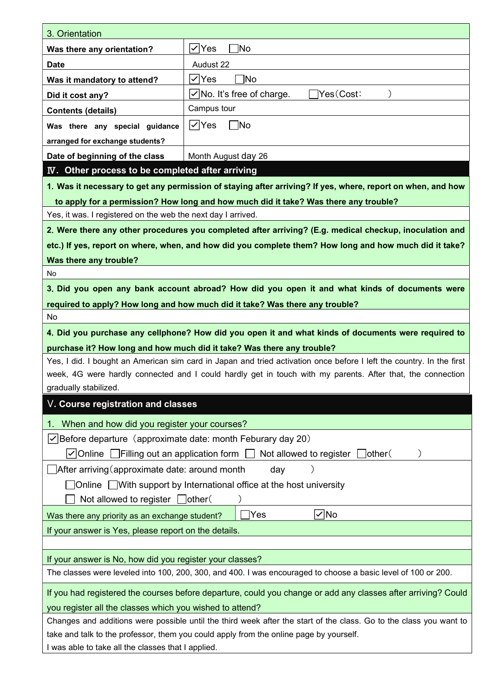| 3. Orientation                                                                                                       |                                                                                                                    |  |  |  |  |  |
|----------------------------------------------------------------------------------------------------------------------|--------------------------------------------------------------------------------------------------------------------|--|--|--|--|--|
| Was there any orientation?                                                                                           | 7No<br>VYes√                                                                                                       |  |  |  |  |  |
| <b>Date</b>                                                                                                          | Audust 22                                                                                                          |  |  |  |  |  |
| Was it mandatory to attend?                                                                                          | VYes√<br>∃No                                                                                                       |  |  |  |  |  |
| Did it cost any?                                                                                                     | Yes(Cost:<br>$ \mathcal{S} $ No. It's free of charge.                                                              |  |  |  |  |  |
| <b>Contents (details)</b>                                                                                            | Campus tour                                                                                                        |  |  |  |  |  |
| Was there any special guidance                                                                                       | $\sqrt{ }$ Yes<br>$\Box$ No                                                                                        |  |  |  |  |  |
| arranged for exchange students?                                                                                      |                                                                                                                    |  |  |  |  |  |
| Date of beginning of the class                                                                                       | Month August day 26                                                                                                |  |  |  |  |  |
| IV. Other process to be completed after arriving                                                                     |                                                                                                                    |  |  |  |  |  |
|                                                                                                                      | 1. Was it necessary to get any permission of staying after arriving? If yes, where, report on when, and how        |  |  |  |  |  |
|                                                                                                                      | to apply for a permission? How long and how much did it take? Was there any trouble?                               |  |  |  |  |  |
| Yes, it was. I registered on the web the next day I arrived.                                                         |                                                                                                                    |  |  |  |  |  |
|                                                                                                                      | 2. Were there any other procedures you completed after arriving? (E.g. medical checkup, inoculation and            |  |  |  |  |  |
|                                                                                                                      | etc.) If yes, report on where, when, and how did you complete them? How long and how much did it take?             |  |  |  |  |  |
| Was there any trouble?                                                                                               |                                                                                                                    |  |  |  |  |  |
| <b>No</b>                                                                                                            |                                                                                                                    |  |  |  |  |  |
|                                                                                                                      | 3. Did you open any bank account abroad? How did you open it and what kinds of documents were                      |  |  |  |  |  |
|                                                                                                                      | required to apply? How long and how much did it take? Was there any trouble?                                       |  |  |  |  |  |
| No                                                                                                                   |                                                                                                                    |  |  |  |  |  |
| 4. Did you purchase any cellphone? How did you open it and what kinds of documents were required to                  |                                                                                                                    |  |  |  |  |  |
| purchase it? How long and how much did it take? Was there any trouble?                                               |                                                                                                                    |  |  |  |  |  |
| Yes, I did. I bought an American sim card in Japan and tried activation once before I left the country. In the first |                                                                                                                    |  |  |  |  |  |
| week, 4G were hardly connected and I could hardly get in touch with my parents. After that, the connection           |                                                                                                                    |  |  |  |  |  |
| gradually stabilized.                                                                                                |                                                                                                                    |  |  |  |  |  |
| V. Course registration and classes                                                                                   |                                                                                                                    |  |  |  |  |  |
| When and how did you register your courses?                                                                          |                                                                                                                    |  |  |  |  |  |
| $\vert \checkmark\vert$ Before departure (approximate date: month Feburary day 20)                                   |                                                                                                                    |  |  |  |  |  |
| $\vert \checkmark$ Online $\vert$ Filling out an application form $\vert \underline{\hspace{0.1cm}}\vert$            | Not allowed to register [<br> other(                                                                               |  |  |  |  |  |
| After arriving (approximate date: around month                                                                       | day                                                                                                                |  |  |  |  |  |
|                                                                                                                      | ]Online □With support by International office at the host university                                               |  |  |  |  |  |
| Not allowed to register $\Box$ other (                                                                               |                                                                                                                    |  |  |  |  |  |
| Was there any priority as an exchange student?                                                                       | $\sqrt{}$ No<br>Yes                                                                                                |  |  |  |  |  |
| If your answer is Yes, please report on the details.                                                                 |                                                                                                                    |  |  |  |  |  |
|                                                                                                                      |                                                                                                                    |  |  |  |  |  |
| If your answer is No, how did you register your classes?                                                             |                                                                                                                    |  |  |  |  |  |
|                                                                                                                      | The classes were leveled into 100, 200, 300, and 400. I was encouraged to choose a basic level of 100 or 200.      |  |  |  |  |  |
| If you had registered the courses before departure, could you change or add any classes after arriving? Could        |                                                                                                                    |  |  |  |  |  |
| you register all the classes which you wished to attend?                                                             |                                                                                                                    |  |  |  |  |  |
|                                                                                                                      | Changes and additions were possible until the third week after the start of the class. Go to the class you want to |  |  |  |  |  |
|                                                                                                                      | take and talk to the professor, them you could apply from the online page by yourself.                             |  |  |  |  |  |
| I was able to take all the classes that I applied.                                                                   |                                                                                                                    |  |  |  |  |  |